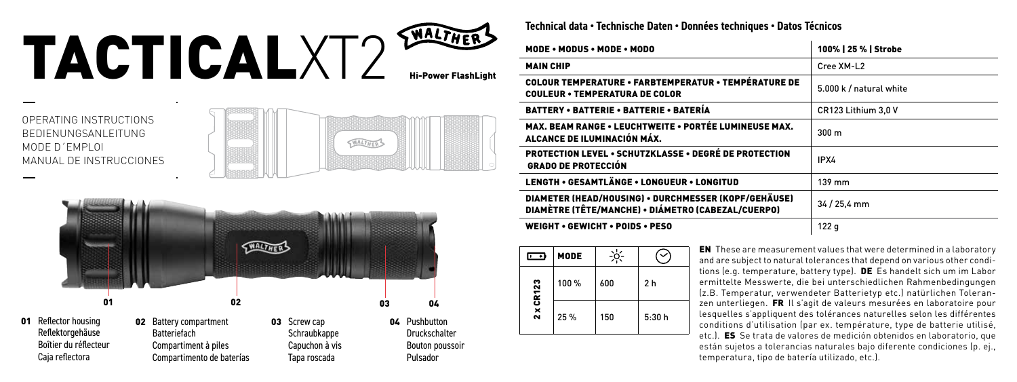## TACTICALXT2

OPERATING INSTRUCTIONS BEDIENUNGSANLEITUNG MODE D´EMPLOI MANUAL DE INSTRUCCIONES





**Technical data • Technische Daten • Données techniques • Datos Técnicos**

| MODE • MODUS • MODE • MODO                                                                                 | 100%   25 %   Strobe    |  |
|------------------------------------------------------------------------------------------------------------|-------------------------|--|
| <b>MAIN CHIP</b>                                                                                           | Cree XM-L2              |  |
| <b>COLOUR TEMPERATURE • FARBTEMPERATUR • TEMPÉRATURE DE</b><br><b>COULEUR • TEMPERATURA DE COLOR</b>       | 5.000 k / natural white |  |
| BATTERY • BATTERIE • BATTERIE • BATERÍA                                                                    | CR123 Lithium 3.0 V     |  |
| MAX. BEAM RANGE . LEUCHTWEITE . PORTÉE LUMINEUSE MAX.<br>ALCANCE DE ILUMINACIÓN MÁX.                       | 300 <sub>m</sub>        |  |
| <b>PROTECTION LEVEL • SCHUTZKLASSE • DEGRÉ DE PROTECTION</b><br><b>GRADO DE PROTECCIÓN</b>                 | IPX4                    |  |
| LENGTH • GESAMTLÄNGE • LONGUEUR • LONGITUD                                                                 | $139$ mm                |  |
| DIAMETER (HEAD/HOUSING) • DURCHMESSER (KOPF/GEHÄUSE)<br>DIAMÈTRE (TÊTE/MANCHE) · DIÁMETRO (CABEZAL/CUERPO) | 34 / 25.4 mm            |  |
| <b>WEIGHT • GEWICHT • POIDS • PESO</b>                                                                     | 122q                    |  |

| —         | <b>MODE</b> |     |                |
|-----------|-------------|-----|----------------|
|           | 100 %       | 600 | 2 <sub>h</sub> |
| 2 x CR123 | 25 %        | 150 | 5:30h          |

EN These are measurement values that were determined in a laboratory and are subject to natural tolerances that depend on various other conditions (e.g. temperature, battery type). DE Es handelt sich um im Labor ermittelte Messwerte, die bei unterschiedlichen Rahmenbedingungen (z.B. Temperatur, verwendeter Batterietyp etc.) natürlichen Toleranzen unterliegen. FR Il s'agit de valeurs mesurées en laboratoire pour lesquelles s'appliquent des tolérances naturelles selon les différentes conditions d'utilisation (par ex. température, type de batterie utilisé, etc.). ES Se trata de valores de medición obtenidos en laboratorio, que están sujetos a tolerancias naturales bajo diferente condiciones (p. ej., temperatura, tipo de batería utilizado, etc.).